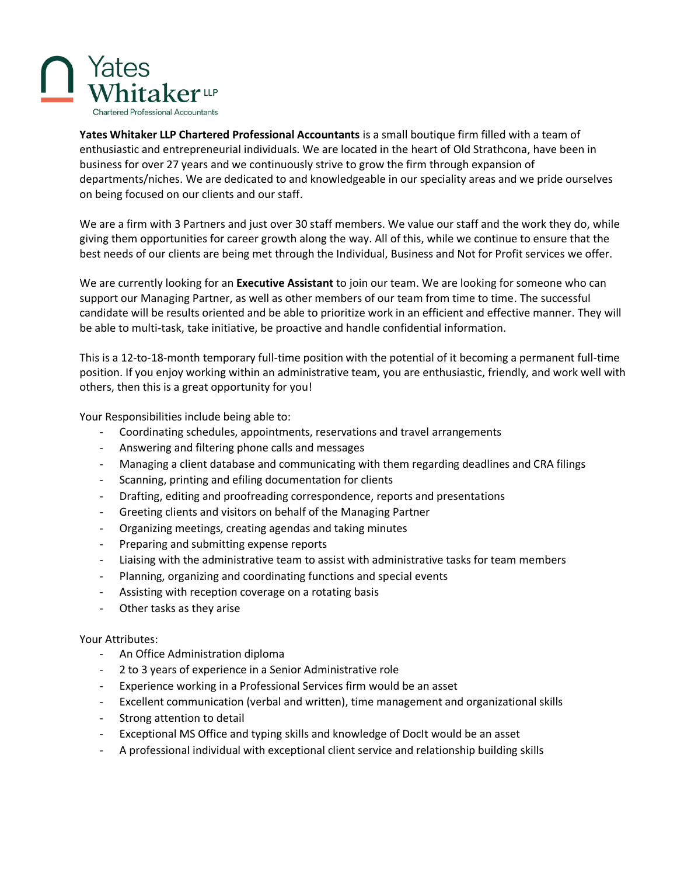

**Yates Whitaker LLP Chartered Professional Accountants** is a small boutique firm filled with a team of enthusiastic and entrepreneurial individuals. We are located in the heart of Old Strathcona, have been in business for over 27 years and we continuously strive to grow the firm through expansion of departments/niches. We are dedicated to and knowledgeable in our speciality areas and we pride ourselves on being focused on our clients and our staff.

We are a firm with 3 Partners and just over 30 staff members. We value our staff and the work they do, while giving them opportunities for career growth along the way. All of this, while we continue to ensure that the best needs of our clients are being met through the Individual, Business and Not for Profit services we offer.

We are currently looking for an **Executive Assistant** to join our team. We are looking for someone who can support our Managing Partner, as well as other members of our team from time to time. The successful candidate will be results oriented and be able to prioritize work in an efficient and effective manner. They will be able to multi-task, take initiative, be proactive and handle confidential information.

This is a 12-to-18-month temporary full-time position with the potential of it becoming a permanent full-time position. If you enjoy working within an administrative team, you are enthusiastic, friendly, and work well with others, then this is a great opportunity for you!

Your Responsibilities include being able to:

- Coordinating schedules, appointments, reservations and travel arrangements
- Answering and filtering phone calls and messages
- Managing a client database and communicating with them regarding deadlines and CRA filings
- Scanning, printing and efiling documentation for clients
- Drafting, editing and proofreading correspondence, reports and presentations
- Greeting clients and visitors on behalf of the Managing Partner
- Organizing meetings, creating agendas and taking minutes
- Preparing and submitting expense reports
- Liaising with the administrative team to assist with administrative tasks for team members
- Planning, organizing and coordinating functions and special events
- Assisting with reception coverage on a rotating basis
- Other tasks as they arise

## Your Attributes:

- An Office Administration diploma
- 2 to 3 years of experience in a Senior Administrative role
- Experience working in a Professional Services firm would be an asset
- Excellent communication (verbal and written), time management and organizational skills
- Strong attention to detail
- Exceptional MS Office and typing skills and knowledge of DocIt would be an asset
- A professional individual with exceptional client service and relationship building skills